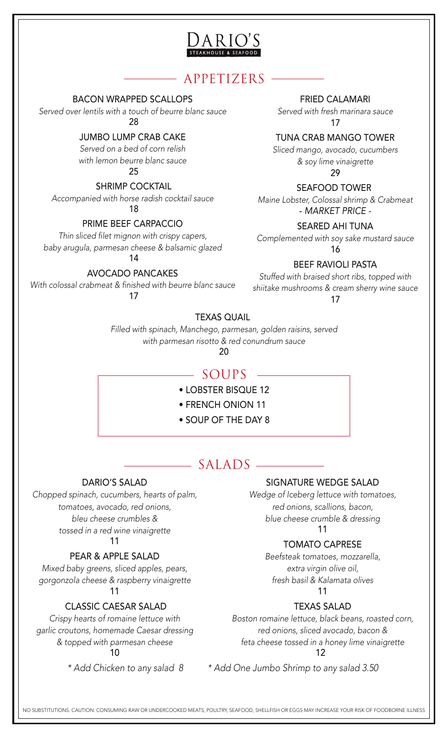

# APPETIZERS

BACON WRAPPED SCALLOPS

*Served over lentils with a touch of beurre blanc sauce*  $28$ 

### JUMBO LUMP CRAB CAKE

*Served on a bed of corn relish with lemon beurre blanc sauce*  $25$ 

#### SHRIMP COCKTAIL

*Accompanied with horse radish cocktail sauce* 18

PRIME BEEF CARPACCIO

*Thin sliced filet mignon with crispy capers, baby arugula, parmesan cheese & balsamic glazed* 14

### AVOCADO PANCAKES

*With colossal crabmeat & finished with beurre blanc sauce* 17

FRIED CALAMARI

*Served with fresh marinara sauce* 17

TUNA CRAB MANGO TOWER

*Sliced mango, avocado, cucumbers & soy lime vinaigrette*

29

### SEAFOOD TOWER

*Maine Lobster, Colossal shrimp & Crabmeat* - *MARKET PRICE -*

#### SEARED AHI TUNA

*Complemented with soy sake mustard sauce*

16

### BEEF RAVIOLI PASTA

*Stuffed with braised short ribs, topped with shiitake mushrooms & cream sherry wine sauce*

17

### TEXAS QUAIL

*Filled with spinach, Manchego, parmesan, golden raisins, served with parmesan risotto & red conundrum sauce*

20

# $-$  SOUPS

- LOBSTER BISQUE 12
- FRENCH ONION 11
- SOUP OF THE DAY 8

# $SALADS$

### SIGNATURE WEDGE SALAD

*Wedge of Iceberg lettuce with tomatoes, red onions, scallions, bacon, blue cheese crumble & dressing* 11

### TOMATO CAPRESE

*Beefsteak tomatoes, mozzarella, extra virgin olive oil, fresh basil & Kalamata olives* 11

### TEXAS SALAD

*Boston romaine lettuce, black beans, roasted corn, red onions, sliced avocado, bacon & feta cheese tossed in a honey lime vinaigrette* 12

*\* Add Chicken to any salad 8 \* Add One Jumbo Shrimp to any salad 3.50* 

DARIO'S SALAD

*Chopped spinach, cucumbers, hearts of palm, tomatoes, avocado, red onions, bleu cheese crumbles & tossed in a red wine vinaigrette* 11

### PEAR & APPLE SALAD

*Mixed baby greens, sliced apples, pears, gorgonzola cheese & raspberry vinaigrette* 11

#### CLASSIC CAESAR SALAD

*Crispy hearts of romaine lettuce with garlic croutons, homemade Caesar dressing & topped with parmesan cheese* 10

NO SUBSTITUTIONS. CAUTION: CONSUMING RAW OR UNDERCOOKED MEATS, POULTRY, SEAFOOD, SHELLFISH OR EGGS MAY INCREASE YOUR RISK OF FOODBORNE ILLNESS